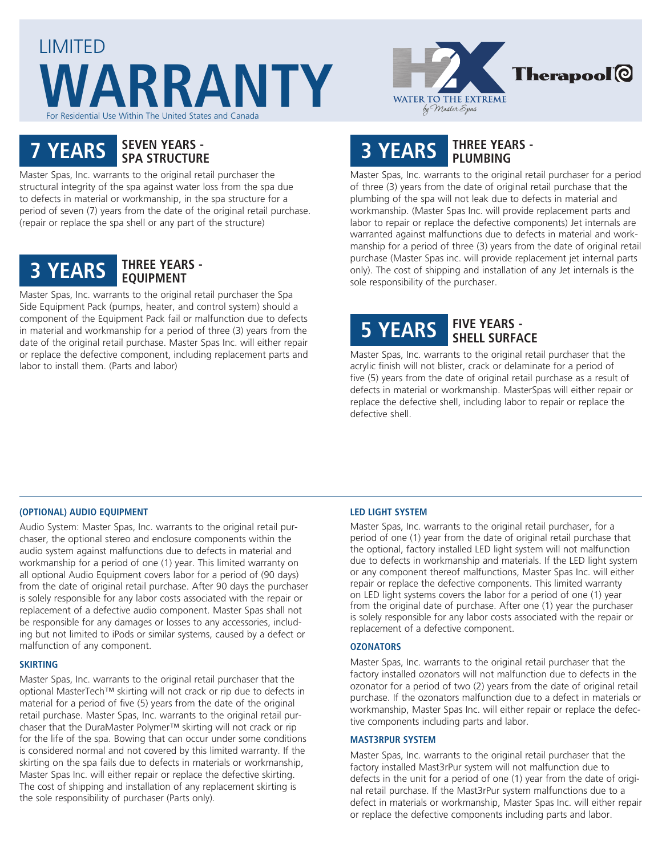



# **7 YEARS SEVEN YEARS - SPA STRUCTURE**

Master Spas, Inc. warrants to the original retail purchaser the structural integrity of the spa against water loss from the spa due to defects in material or workmanship, in the spa structure for a period of seven (7) years from the date of the original retail purchase. (repair or replace the spa shell or any part of the structure)

# **3 YEARS THREE YEARS - EQUIPMENT**

Master Spas, Inc. warrants to the original retail purchaser the Spa Side Equipment Pack (pumps, heater, and control system) should a component of the Equipment Pack fail or malfunction due to defects in material and workmanship for a period of three (3) years from the date of the original retail purchase. Master Spas Inc. will either repair or replace the defective component, including replacement parts and labor to install them. (Parts and labor)

# **3 YEARS THREE YEARS - PLUMBING**

Master Spas, Inc. warrants to the original retail purchaser for a period of three (3) years from the date of original retail purchase that the plumbing of the spa will not leak due to defects in material and workmanship. (Master Spas Inc. will provide replacement parts and labor to repair or replace the defective components) Jet internals are warranted against malfunctions due to defects in material and workmanship for a period of three (3) years from the date of original retail purchase (Master Spas inc. will provide replacement jet internal parts only). The cost of shipping and installation of any Jet internals is the sole responsibility of the purchaser.

# **5 YEARS FIVE YEARS - SHELL SURFACE**

Master Spas, Inc. warrants to the original retail purchaser that the acrylic finish will not blister, crack or delaminate for a period of five (5) years from the date of original retail purchase as a result of defects in material or workmanship. MasterSpas will either repair or replace the defective shell, including labor to repair or replace the defective shell.

# **(OPTIONAL) AUDIO EQUIPMENT**

Audio System: Master Spas, Inc. warrants to the original retail purchaser, the optional stereo and enclosure components within the audio system against malfunctions due to defects in material and workmanship for a period of one (1) year. This limited warranty on all optional Audio Equipment covers labor for a period of (90 days) from the date of original retail purchase. After 90 days the purchaser is solely responsible for any labor costs associated with the repair or replacement of a defective audio component. Master Spas shall not be responsible for any damages or losses to any accessories, including but not limited to iPods or similar systems, caused by a defect or malfunction of any component.

## **SKIRTING**

Master Spas, Inc. warrants to the original retail purchaser that the optional MasterTech™ skirting will not crack or rip due to defects in material for a period of five (5) years from the date of the original retail purchase. Master Spas, Inc. warrants to the original retail purchaser that the DuraMaster Polymer™ skirting will not crack or rip for the life of the spa. Bowing that can occur under some conditions is considered normal and not covered by this limited warranty. If the skirting on the spa fails due to defects in materials or workmanship, Master Spas Inc. will either repair or replace the defective skirting. The cost of shipping and installation of any replacement skirting is the sole responsibility of purchaser (Parts only).

## **LED LIGHT SYSTEM**

Master Spas, Inc. warrants to the original retail purchaser, for a period of one (1) year from the date of original retail purchase that the optional, factory installed LED light system will not malfunction due to defects in workmanship and materials. If the LED light system or any component thereof malfunctions, Master Spas Inc. will either repair or replace the defective components. This limited warranty on LED light systems covers the labor for a period of one (1) year from the original date of purchase. After one (1) year the purchaser is solely responsible for any labor costs associated with the repair or replacement of a defective component.

#### **OZONATORS**

Master Spas, Inc. warrants to the original retail purchaser that the factory installed ozonators will not malfunction due to defects in the ozonator for a period of two (2) years from the date of original retail purchase. If the ozonators malfunction due to a defect in materials or workmanship, Master Spas Inc. will either repair or replace the defective components including parts and labor.

#### **MAST3RPUR SYSTEM**

Master Spas, Inc. warrants to the original retail purchaser that the factory installed Mast3rPur system will not malfunction due to defects in the unit for a period of one (1) year from the date of original retail purchase. If the Mast3rPur system malfunctions due to a defect in materials or workmanship, Master Spas Inc. will either repair or replace the defective components including parts and labor.